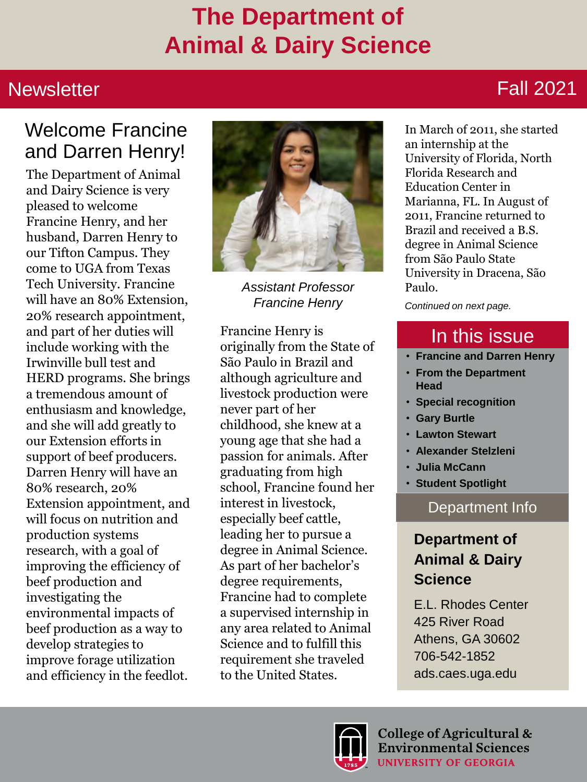### **The Department of Animal & Dairy Science**

#### **Newsletter**

#### Fall 2021

#### Welcome Francine and Darren Henry!

The Department of Animal and Dairy Science is very pleased to welcome Francine Henry, and her husband, Darren Henry to our Tifton Campus. They come to UGA from Texas Tech University. Francine will have an 80% Extension, 20% research appointment, and part of her duties will include working with the Irwinville bull test and HERD programs. She brings a tremendous amount of enthusiasm and knowledge, and she will add greatly to our Extension efforts in support of beef producers. Darren Henry will have an 80% research, 20% Extension appointment, and will focus on nutrition and production systems research, with a goal of improving the efficiency of beef production and investigating the environmental impacts of beef production as a way to develop strategies to improve forage utilization and efficiency in the feedlot.



*Assistant Professor Francine Henry Continued on next page.*

Francine Henry is originally from the State of São Paulo in Brazil and although agriculture and livestock production were never part of her childhood, she knew at a young age that she had a passion for animals. After graduating from high school, Francine found her interest in livestock, especially beef cattle, leading her to pursue a degree in Animal Science. As part of her bachelor's degree requirements, Francine had to complete a supervised internship in any area related to Animal Science and to fulfill this requirement she traveled to the United States.

In March of 2011, she started an internship at the University of Florida, North Florida Research and Education Center in Marianna, FL. In August of 2011, Francine returned to Brazil and received a B.S. degree in Animal Science from São Paulo State University in Dracena, São Paulo.

#### In this issue

- **Francine and Darren Henry**
- **From the Department Head**
- **Special recognition**
- **Gary Burtle**
- **Lawton Stewart**
- **Alexander Stelzleni**
- **Julia McCann**
- **Student Spotlight**

#### Department Info

#### **Department of Animal & Dairy Science**

E.L. Rhodes Center 425 River Road Athens, GA 30602 706-542-1852 ads.caes.uga.edu

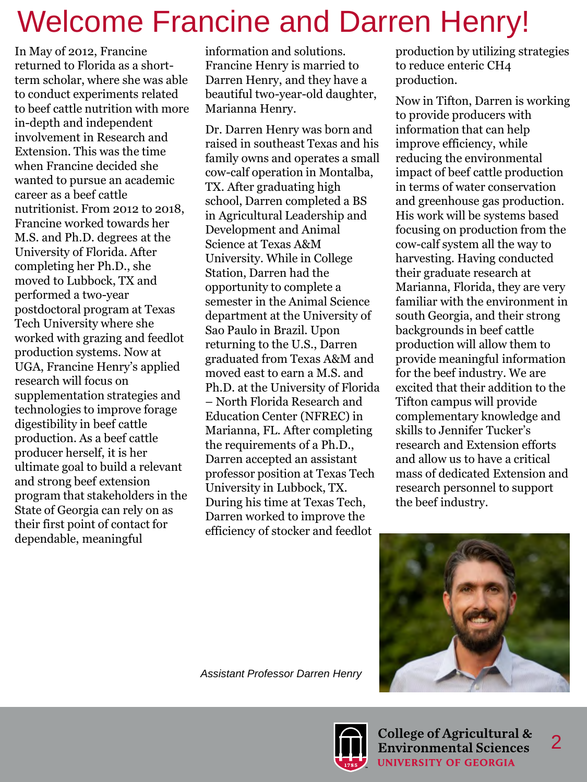## Welcome Francine and Darren Henry!

In May of 2012, Francine returned to Florida as a shortterm scholar, where she was able to conduct experiments related to beef cattle nutrition with more in-depth and independent involvement in Research and Extension. This was the time when Francine decided she wanted to pursue an academic career as a beef cattle nutritionist. From 2012 to 2018, Francine worked towards her M.S. and Ph.D. degrees at the University of Florida. After completing her Ph.D., she moved to Lubbock, TX and performed a two-year postdoctoral program at Texas Tech University where she worked with grazing and feedlot production systems. Now at UGA, Francine Henry's applied research will focus on supplementation strategies and technologies to improve forage digestibility in beef cattle production. As a beef cattle producer herself, it is her ultimate goal to build a relevant and strong beef extension program that stakeholders in the State of Georgia can rely on as their first point of contact for dependable, meaningful

information and solutions. Francine Henry is married to Darren Henry, and they have a beautiful two-year-old daughter, Marianna Henry.

Dr. Darren Henry was born and raised in southeast Texas and his family owns and operates a small cow-calf operation in Montalba, TX. After graduating high school, Darren completed a BS in Agricultural Leadership and Development and Animal Science at Texas A&M University. While in College Station, Darren had the opportunity to complete a semester in the Animal Science department at the University of Sao Paulo in Brazil. Upon returning to the U.S., Darren graduated from Texas A&M and moved east to earn a M.S. and Ph.D. at the University of Florida – North Florida Research and Education Center (NFREC) in Marianna, FL. After completing the requirements of a Ph.D., Darren accepted an assistant professor position at Texas Tech University in Lubbock, TX. During his time at Texas Tech, Darren worked to improve the efficiency of stocker and feedlot

production by utilizing strategies to reduce enteric CH4 production.

Now in Tifton, Darren is working to provide producers with information that can help improve efficiency, while reducing the environmental impact of beef cattle production in terms of water conservation and greenhouse gas production. His work will be systems based focusing on production from the cow-calf system all the way to harvesting. Having conducted their graduate research at Marianna, Florida, they are very familiar with the environment in south Georgia, and their strong backgrounds in beef cattle production will allow them to provide meaningful information for the beef industry. We are excited that their addition to the Tifton campus will provide complementary knowledge and skills to Jennifer Tucker's research and Extension efforts and allow us to have a critical mass of dedicated Extension and research personnel to support the beef industry.



*Assistant Professor Darren Henry*

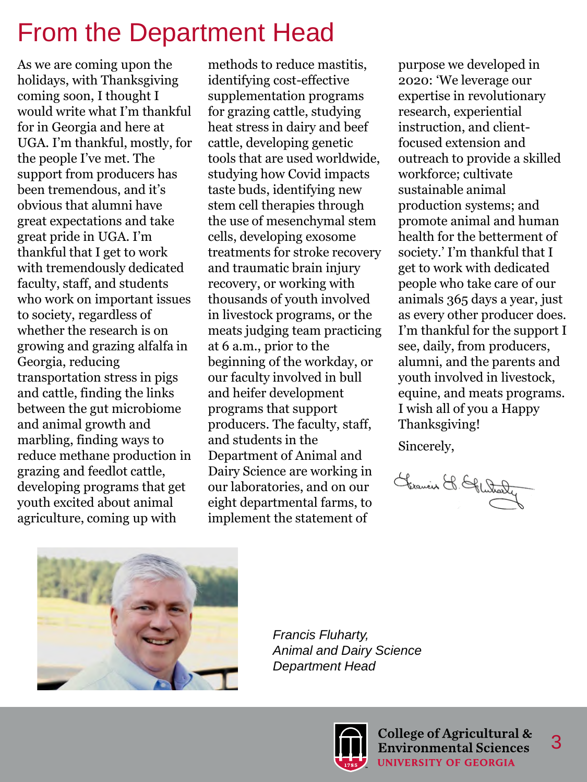### From the Department Head

As we are coming upon the holidays, with Thanksgiving coming soon, I thought I would write what I'm thankful for in Georgia and here at UGA. I'm thankful, mostly, for the people I've met. The support from producers has been tremendous, and it's obvious that alumni have great expectations and take great pride in UGA. I'm thankful that I get to work with tremendously dedicated faculty, staff, and students who work on important issues to society, regardless of whether the research is on growing and grazing alfalfa in Georgia, reducing transportation stress in pigs and cattle, finding the links between the gut microbiome and animal growth and marbling, finding ways to reduce methane production in grazing and feedlot cattle, developing programs that get youth excited about animal agriculture, coming up with

methods to reduce mastitis, identifying cost-effective supplementation programs for grazing cattle, studying heat stress in dairy and beef cattle, developing genetic tools that are used worldwide, studying how Covid impacts taste buds, identifying new stem cell therapies through the use of mesenchymal stem cells, developing exosome treatments for stroke recovery and traumatic brain injury recovery, or working with thousands of youth involved in livestock programs, or the meats judging team practicing at 6 a.m., prior to the beginning of the workday, or our faculty involved in bull and heifer development programs that support producers. The faculty, staff, and students in the Department of Animal and Dairy Science are working in our laboratories, and on our eight departmental farms, to implement the statement of

purpose we developed in 2020: 'We leverage our expertise in revolutionary research, experiential instruction, and clientfocused extension and outreach to provide a skilled workforce; cultivate sustainable animal production systems; and promote animal and human health for the betterment of society.' I'm thankful that I get to work with dedicated people who take care of our animals 365 days a year, just as every other producer does. I'm thankful for the support I see, daily, from producers, alumni, and the parents and youth involved in livestock, equine, and meats programs. I wish all of you a Happy Thanksgiving!

Sincerely,

Germain & Glutraly



*Francis Fluharty, Animal and Dairy Science Department Head*

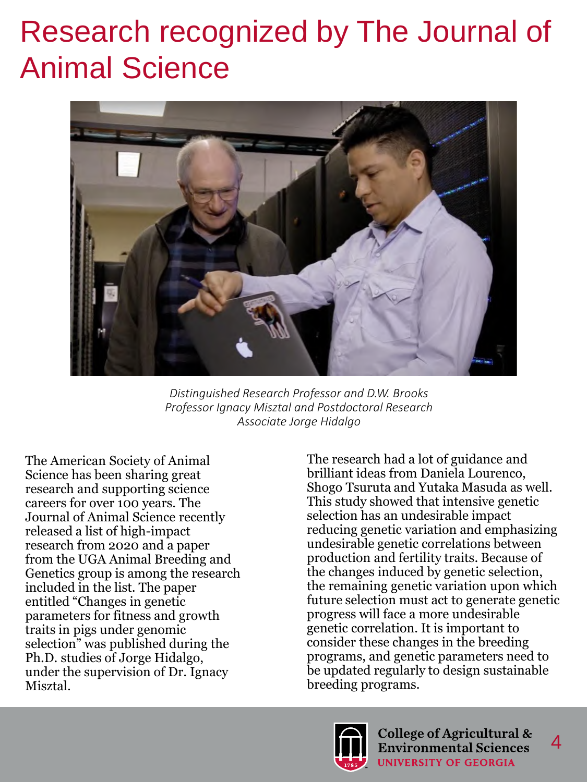# Research recognized by The Journal of Animal Science



*Distinguished Research Professor and D.W. Brooks Professor Ignacy Misztal and Postdoctoral Research Associate Jorge Hidalgo*

The American Society of Animal Science has been sharing great research and supporting science careers for over 100 years. The Journal of Animal Science recently released a list of high-impact research from 2020 and a paper from the UGA Animal Breeding and Genetics group is among the research included in the list. The paper entitled "Changes in genetic parameters for fitness and growth traits in pigs under genomic selection" was published during the Ph.D. studies of Jorge Hidalgo, under the supervision of Dr. Ignacy Misztal.

The research had a lot of guidance and brilliant ideas from Daniela Lourenco, Shogo Tsuruta and Yutaka Masuda as well. This study showed that intensive genetic selection has an undesirable impact reducing genetic variation and emphasizing undesirable genetic correlations between production and fertility traits. Because of the changes induced by genetic selection, the remaining genetic variation upon which future selection must act to generate genetic progress will face a more undesirable genetic correlation. It is important to consider these changes in the breeding programs, and genetic parameters need to be updated regularly to design sustainable breeding programs.

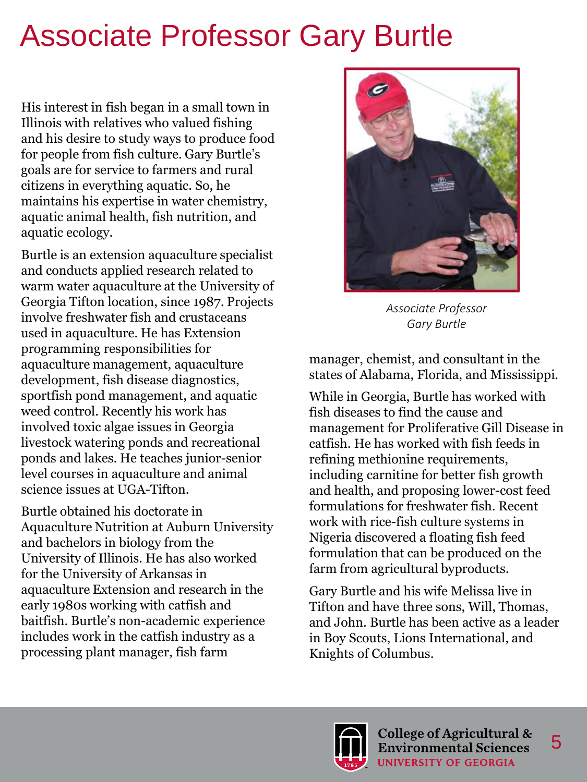# Associate Professor Gary Burtle

His interest in fish began in a small town in Illinois with relatives who valued fishing and his desire to study ways to produce food for people from fish culture. Gary Burtle's goals are for service to farmers and rural citizens in everything aquatic. So, he maintains his expertise in water chemistry, aquatic animal health, fish nutrition, and aquatic ecology.

Burtle is an extension aquaculture specialist and conducts applied research related to warm water aquaculture at the University of Georgia Tifton location, since 1987. Projects involve freshwater fish and crustaceans used in aquaculture. He has Extension programming responsibilities for aquaculture management, aquaculture development, fish disease diagnostics, sportfish pond management, and aquatic weed control. Recently his work has involved toxic algae issues in Georgia livestock watering ponds and recreational ponds and lakes. He teaches junior-senior level courses in aquaculture and animal science issues at UGA-Tifton.

Burtle obtained his doctorate in Aquaculture Nutrition at Auburn University and bachelors in biology from the University of Illinois. He has also worked for the University of Arkansas in aquaculture Extension and research in the early 1980s working with catfish and baitfish. Burtle's non-academic experience includes work in the catfish industry as a processing plant manager, fish farm



*Associate Professor Gary Burtle*

manager, chemist, and consultant in the states of Alabama, Florida, and Mississippi.

While in Georgia, Burtle has worked with fish diseases to find the cause and management for Proliferative Gill Disease in catfish. He has worked with fish feeds in refining methionine requirements, including carnitine for better fish growth and health, and proposing lower-cost feed formulations for freshwater fish. Recent work with rice-fish culture systems in Nigeria discovered a floating fish feed formulation that can be produced on the farm from agricultural byproducts.

Gary Burtle and his wife Melissa live in Tifton and have three sons, Will, Thomas, and John. Burtle has been active as a leader in Boy Scouts, Lions International, and Knights of Columbus.

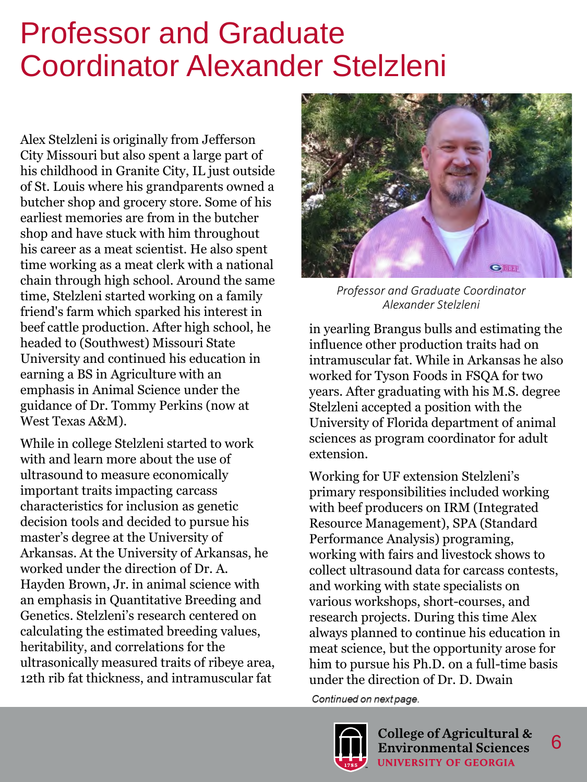## Professor and Graduate Coordinator Alexander Stelzleni

Alex Stelzleni is originally from Jefferson City Missouri but also spent a large part of his childhood in Granite City, IL just outside of St. Louis where his grandparents owned a butcher shop and grocery store. Some of his earliest memories are from in the butcher shop and have stuck with him throughout his career as a meat scientist. He also spent time working as a meat clerk with a national chain through high school. Around the same time, Stelzleni started working on a family friend's farm which sparked his interest in beef cattle production. After high school, he headed to (Southwest) Missouri State University and continued his education in earning a BS in Agriculture with an emphasis in Animal Science under the guidance of Dr. Tommy Perkins (now at West Texas A&M).

While in college Stelzleni started to work with and learn more about the use of ultrasound to measure economically important traits impacting carcass characteristics for inclusion as genetic decision tools and decided to pursue his master's degree at the University of Arkansas. At the University of Arkansas, he worked under the direction of Dr. A. Hayden Brown, Jr. in animal science with an emphasis in Quantitative Breeding and Genetics. Stelzleni's research centered on calculating the estimated breeding values, heritability, and correlations for the ultrasonically measured traits of ribeye area, 12th rib fat thickness, and intramuscular fat



*Professor and Graduate Coordinator Alexander Stelzleni*

in yearling Brangus bulls and estimating the influence other production traits had on intramuscular fat. While in Arkansas he also worked for Tyson Foods in FSQA for two years. After graduating with his M.S. degree Stelzleni accepted a position with the University of Florida department of animal sciences as program coordinator for adult extension.

Working for UF extension Stelzleni's primary responsibilities included working with beef producers on IRM (Integrated Resource Management), SPA (Standard Performance Analysis) programing, working with fairs and livestock shows to collect ultrasound data for carcass contests, and working with state specialists on various workshops, short-courses, and research projects. During this time Alex always planned to continue his education in meat science, but the opportunity arose for him to pursue his Ph.D. on a full-time basis under the direction of Dr. D. Dwain

Continued on next page.

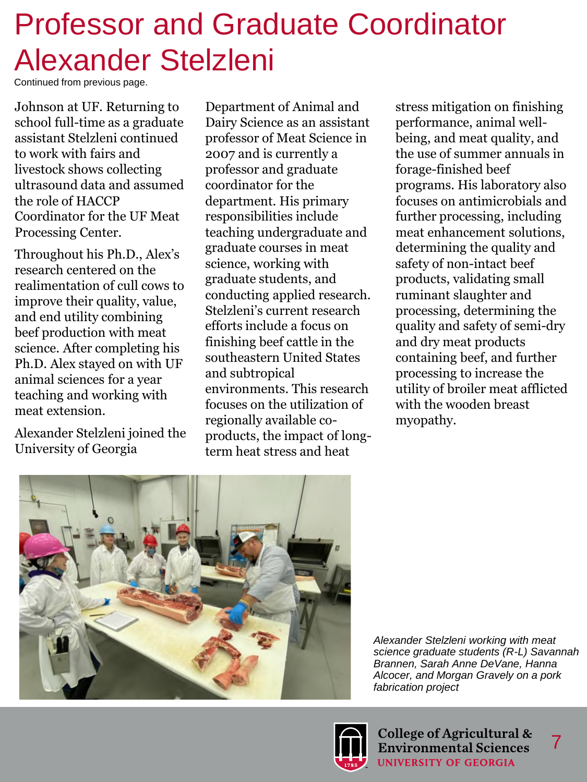# Professor and Graduate Coordinator Alexander Stelzleni

Continued from previous page.

Johnson at UF. Returning to school full-time as a graduate assistant Stelzleni continued to work with fairs and livestock shows collecting ultrasound data and assumed the role of HACCP Coordinator for the UF Meat Processing Center.

Throughout his Ph.D., Alex's research centered on the realimentation of cull cows to improve their quality, value, and end utility combining beef production with meat science. After completing his Ph.D. Alex stayed on with UF animal sciences for a year teaching and working with meat extension.

Alexander Stelzleni joined the University of Georgia

Department of Animal and Dairy Science as an assistant professor of Meat Science in 2007 and is currently a professor and graduate coordinator for the department. His primary responsibilities include teaching undergraduate and graduate courses in meat science, working with graduate students, and conducting applied research. Stelzleni's current research efforts include a focus on finishing beef cattle in the southeastern United States and subtropical environments. This research focuses on the utilization of regionally available coproducts, the impact of longterm heat stress and heat

stress mitigation on finishing performance, animal wellbeing, and meat quality, and the use of summer annuals in forage-finished beef programs. His laboratory also focuses on antimicrobials and further processing, including meat enhancement solutions, determining the quality and safety of non-intact beef products, validating small ruminant slaughter and processing, determining the quality and safety of semi-dry and dry meat products containing beef, and further processing to increase the utility of broiler meat afflicted with the wooden breast myopathy.



*Alexander Stelzleni working with meat science graduate students (R-L) Savannah Brannen, Sarah Anne DeVane, Hanna Alcocer, and Morgan Gravely on a pork fabrication project*

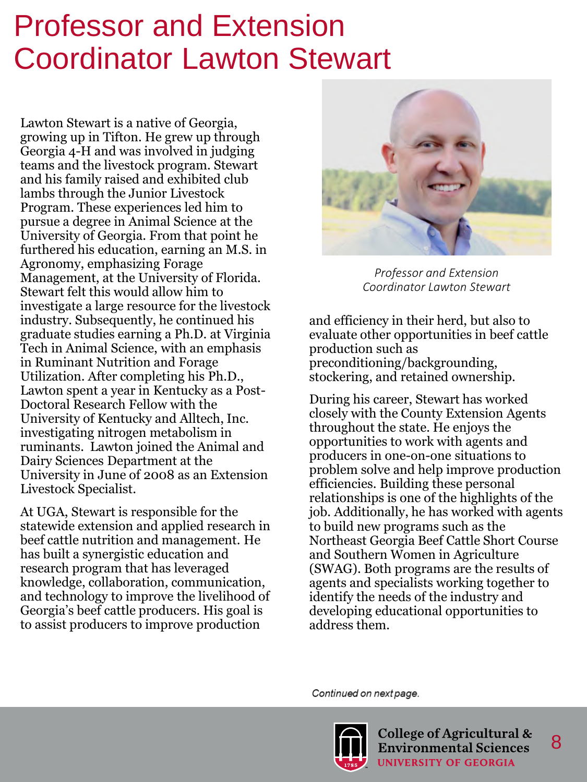## Professor and Extension Coordinator Lawton Stewart

Lawton Stewart is a native of Georgia, growing up in Tifton. He grew up through Georgia 4-H and was involved in judging teams and the livestock program. Stewart and his family raised and exhibited club lambs through the Junior Livestock Program. These experiences led him to pursue a degree in Animal Science at the University of Georgia. From that point he furthered his education, earning an M.S. in Agronomy, emphasizing Forage Management, at the University of Florida. Stewart felt this would allow him to investigate a large resource for the livestock industry. Subsequently, he continued his graduate studies earning a Ph.D. at Virginia Tech in Animal Science, with an emphasis in Ruminant Nutrition and Forage Utilization. After completing his Ph.D., Lawton spent a year in Kentucky as a Post-Doctoral Research Fellow with the University of Kentucky and Alltech, Inc. investigating nitrogen metabolism in ruminants. Lawton joined the Animal and Dairy Sciences Department at the University in June of 2008 as an Extension Livestock Specialist.

At UGA, Stewart is responsible for the statewide extension and applied research in beef cattle nutrition and management. He has built a synergistic education and research program that has leveraged knowledge, collaboration, communication, and technology to improve the livelihood of Georgia's beef cattle producers. His goal is to assist producers to improve production



*Professor and Extension Coordinator Lawton Stewart*

and efficiency in their herd, but also to evaluate other opportunities in beef cattle production such as preconditioning/backgrounding, stockering, and retained ownership.

During his career, Stewart has worked closely with the County Extension Agents throughout the state. He enjoys the opportunities to work with agents and producers in one-on-one situations to problem solve and help improve production efficiencies. Building these personal relationships is one of the highlights of the job. Additionally, he has worked with agents to build new programs such as the Northeast Georgia Beef Cattle Short Course and Southern Women in Agriculture (SWAG). Both programs are the results of agents and specialists working together to identify the needs of the industry and developing educational opportunities to address them.

Continued on next page.

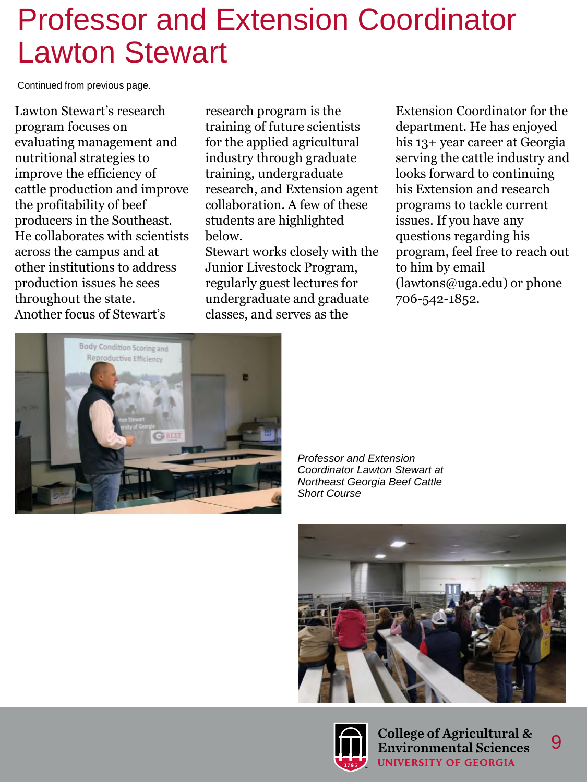### Professor and Extension Coordinator Lawton Stewart

Continued from previous page.

Lawton Stewart's research program focuses on evaluating management and nutritional strategies to improve the efficiency of cattle production and improve the profitability of beef producers in the Southeast. He collaborates with scientists across the campus and at other institutions to address production issues he sees throughout the state. Another focus of Stewart's

research program is the training of future scientists for the applied agricultural industry through graduate training, undergraduate research, and Extension agent collaboration. A few of these students are highlighted below.

Stewart works closely with the Junior Livestock Program, regularly guest lectures for undergraduate and graduate classes, and serves as the

Extension Coordinator for the department. He has enjoyed his 13+ year career at Georgia serving the cattle industry and looks forward to continuing his Extension and research programs to tackle current issues. If you have any questions regarding his program, feel free to reach out to him by email (lawtons@uga.edu) or phone 706-542-1852.



*Professor and Extension Coordinator Lawton Stewart at Northeast Georgia Beef Cattle Short Course*





College of Agricultural & **Environmental Sciences UNIVERSITY OF GEORGIA**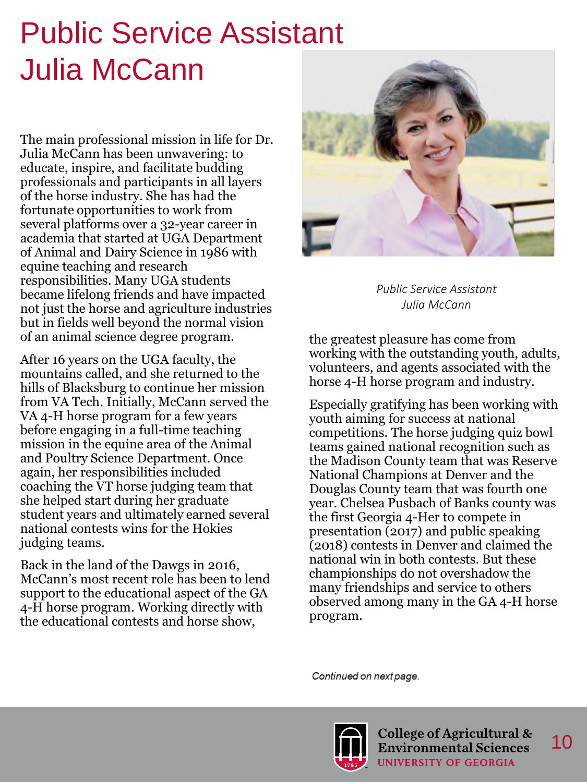# Public Service Assistant Julia McCann

The main professional mission in life for Dr. Julia McCann has been unwavering: to educate, inspire, and facilitate budding professionals and participants in all layers of the horse industry. She has had the fortunate opportunities to work from several platforms over a 32-year career in academia that started at UGA Department of Animal and Dairy Science in 1986 with equine teaching and research responsibilities. Many UGA students became lifelong friends and have impacted not just the horse and agriculture industries but in fields well beyond the normal vision of an animal science degree program.

After 16 years on the UGA faculty, the mountains called, and she returned to the hills of Blacksburg to continue her mission from VA Tech. Initially, McCann served the VA 4-H horse program for a few years before engaging in a full-time teaching mission in the equine area of the Animal and Poultry Science Department. Once again, her responsibilities included coaching the VT horse judging team that she helped start during her graduate student years and ultimately earned several national contests wins for the Hokies judging teams.

Back in the land of the Dawgs in 2016, McCann's most recent role has been to lend support to the educational aspect of the GA 4-H horse program. Working directly with the educational contests and horse show,



*Public Service Assistant Julia McCann*

the greatest pleasure has come from working with the outstanding youth, adults, volunteers, and agents associated with the horse 4-H horse program and industry.

Especially gratifying has been working with youth aiming for success at national competitions. The horse judging quiz bowl teams gained national recognition such as the Madison County team that was Reserve National Champions at Denver and the Douglas County team that was fourth one year. Chelsea Pusbach of Banks county was the first Georgia 4-Her to compete in presentation (2017) and public speaking (2018) contests in Denver and claimed the national win in both contests. But these championships do not overshadow the many friendships and service to others observed among many in the GA 4-H horse program.

Continued on next page.

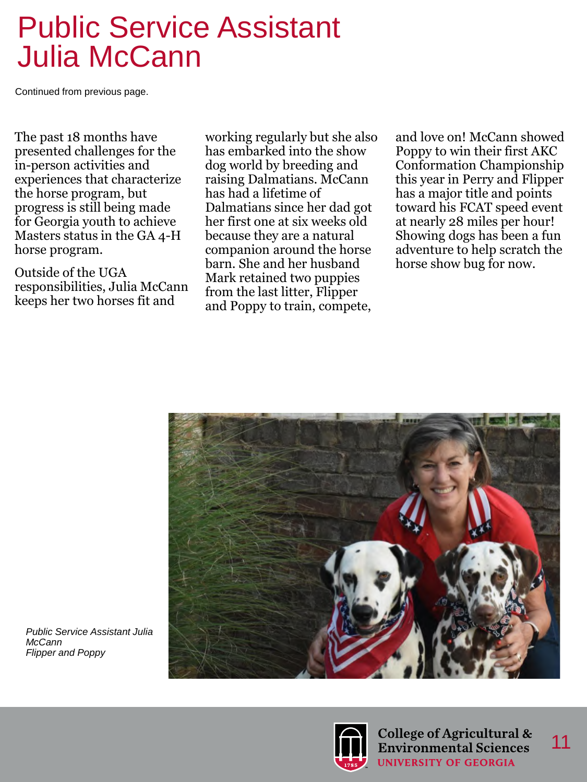### Public Service Assistant Julia McCann

Continued from previous page.

The past 18 months have presented challenges for the in-person activities and experiences that characterize the horse program, but progress is still being made for Georgia youth to achieve Masters status in the GA 4-H horse program.

Outside of the UGA responsibilities, Julia McCann keeps her two horses fit and

working regularly but she also has embarked into the show dog world by breeding and raising Dalmatians. McCann has had a lifetime of Dalmatians since her dad got her first one at six weeks old because they are a natural companion around the horse barn. She and her husband Mark retained two puppies from the last litter, Flipper and Poppy to train, compete,

and love on! McCann showed Poppy to win their first AKC Conformation Championship this year in Perry and Flipper has a major title and points toward his FCAT speed event at nearly 28 miles per hour! Showing dogs has been a fun adventure to help scratch the horse show bug for now.



*Public Service Assistant Julia McCann Flipper and Poppy*



College of Agricultural & **Environmental Sciences UNIVERSITY OF GEORGIA**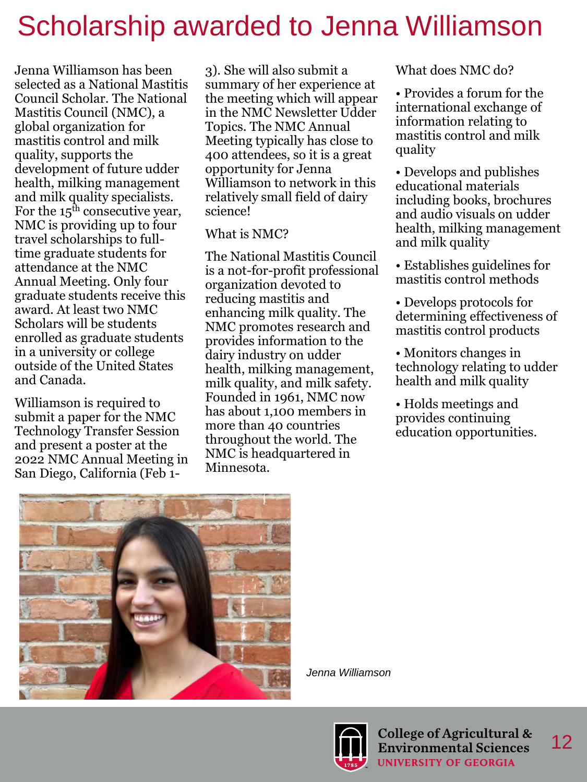### Scholarship awarded to Jenna Williamson

Jenna Williamson has been selected as a National Mastitis Council Scholar. The National Mastitis Council (NMC), a global organization for mastitis control and milk quality, supports the development of future udder health, milking management and milk quality specialists. For the  $15<sup>th</sup>$  consecutive year, NMC is providing up to four travel scholarships to fulltime graduate students for attendance at the NMC Annual Meeting. Only four graduate students receive this award. At least two NMC Scholars will be students enrolled as graduate students in a university or college outside of the United States and Canada.

Williamson is required to submit a paper for the NMC Technology Transfer Session and present a poster at the 2022 NMC Annual Meeting in San Diego, California (Feb 1-

3). She will also submit a summary of her experience at the meeting which will appear in the NMC Newsletter Udder Topics. The NMC Annual Meeting typically has close to 400 attendees, so it is a great opportunity for Jenna Williamson to network in this relatively small field of dairy science!

#### What is NMC?

The National Mastitis Council is a not-for-profit professional organization devoted to reducing mastitis and enhancing milk quality. The NMC promotes research and provides information to the dairy industry on udder health, milking management, milk quality, and milk safety. Founded in 1961, NMC now has about 1,100 members in more than 40 countries throughout the world. The NMC is headquartered in Minnesota.

What does NMC do?

• Provides a forum for the international exchange of information relating to mastitis control and milk quality

• Develops and publishes educational materials including books, brochures and audio visuals on udder health, milking management and milk quality

• Establishes guidelines for mastitis control methods

• Develops protocols for determining effectiveness of mastitis control products

• Monitors changes in technology relating to udder health and milk quality

• Holds meetings and provides continuing education opportunities.



*Jenna Williamson*

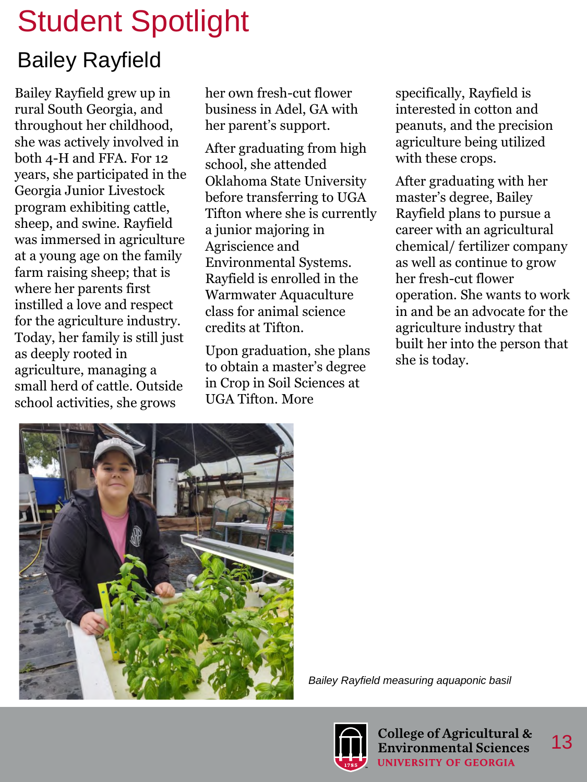#### Bailey Rayfield

Bailey Rayfield grew up in rural South Georgia, and throughout her childhood, she was actively involved in both 4-H and FFA. For 12 years, she participated in the Georgia Junior Livestock program exhibiting cattle, sheep, and swine. Rayfield was immersed in agriculture at a young age on the family farm raising sheep; that is where her parents first instilled a love and respect for the agriculture industry. Today, her family is still just as deeply rooted in agriculture, managing a small herd of cattle. Outside school activities, she grows

her own fresh-cut flower business in Adel, GA with her parent's support.

After graduating from high school, she attended Oklahoma State University before transferring to UGA Tifton where she is currently a junior majoring in Agriscience and Environmental Systems. Rayfield is enrolled in the Warmwater Aquaculture class for animal science credits at Tifton.

Upon graduation, she plans to obtain a master's degree in Crop in Soil Sciences at UGA Tifton. More

specifically, Rayfield is interested in cotton and peanuts, and the precision agriculture being utilized with these crops.

After graduating with her master's degree, Bailey Rayfield plans to pursue a career with an agricultural chemical/ fertilizer company as well as continue to grow her fresh-cut flower operation. She wants to work in and be an advocate for the agriculture industry that built her into the person that she is today.



*Bailey Rayfield measuring aquaponic basil*

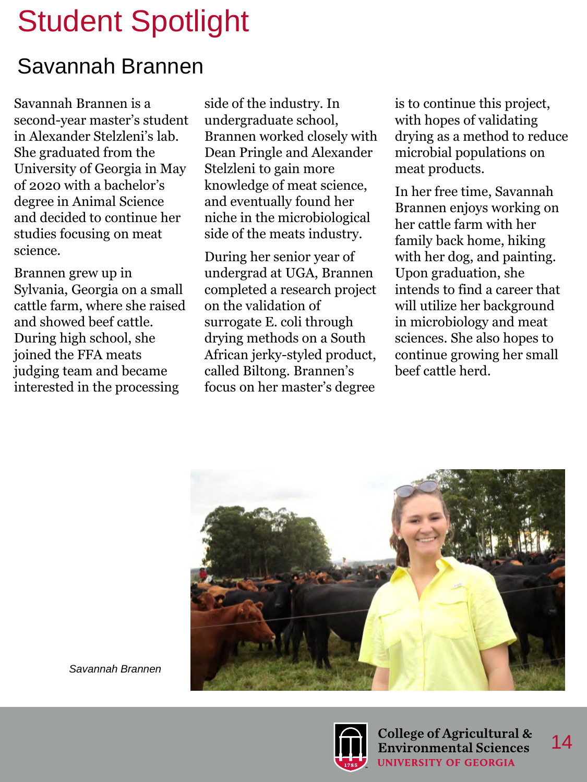#### Savannah Brannen

Savannah Brannen is a second-year master's student in Alexander Stelzleni's lab. She graduated from the University of Georgia in May of 2020 with a bachelor's degree in Animal Science and decided to continue her studies focusing on meat science.

Brannen grew up in Sylvania, Georgia on a small cattle farm, where she raised and showed beef cattle. During high school, she joined the FFA meats judging team and became interested in the processing

side of the industry. In undergraduate school, Brannen worked closely with Dean Pringle and Alexander Stelzleni to gain more knowledge of meat science, and eventually found her niche in the microbiological side of the meats industry.

During her senior year of undergrad at UGA, Brannen completed a research project on the validation of surrogate E. coli through drying methods on a South African jerky-styled product, called Biltong. Brannen's focus on her master's degree

is to continue this project, with hopes of validating drying as a method to reduce microbial populations on meat products.

In her free time, Savannah Brannen enjoys working on her cattle farm with her family back home, hiking with her dog, and painting. Upon graduation, she intends to find a career that will utilize her background in microbiology and meat sciences. She also hopes to continue growing her small beef cattle herd.



*Savannah Brannen*

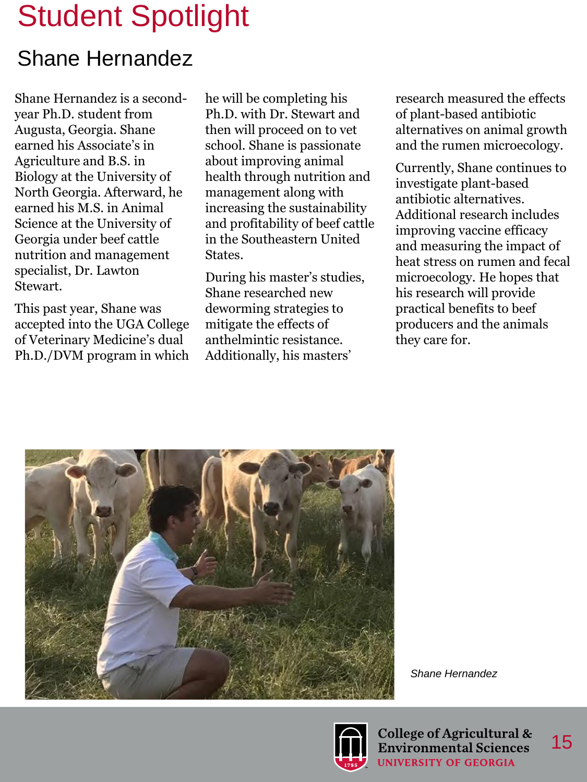#### Shane Hernandez

Shane Hernandez is a secondyear Ph.D. student from Augusta, Georgia. Shane earned his Associate's in Agriculture and B.S. in Biology at the University of North Georgia. Afterward, he earned his M.S. in Animal Science at the University of Georgia under beef cattle nutrition and management specialist, Dr. Lawton Stewart.

This past year, Shane was accepted into the UGA College of Veterinary Medicine's dual Ph.D./DVM program in which he will be completing his Ph.D. with Dr. Stewart and then will proceed on to vet school. Shane is passionate about improving animal health through nutrition and management along with increasing the sustainability and profitability of beef cattle in the Southeastern United States.

During his master's studies, Shane researched new deworming strategies to mitigate the effects of anthelmintic resistance. Additionally, his masters'

research measured the effects of plant-based antibiotic alternatives on animal growth and the rumen microecology.

Currently, Shane continues to investigate plant-based antibiotic alternatives. Additional research includes improving vaccine efficacy and measuring the impact of heat stress on rumen and fecal microecology. He hopes that his research will provide practical benefits to beef producers and the animals they care for.



*Shane Hernandez*

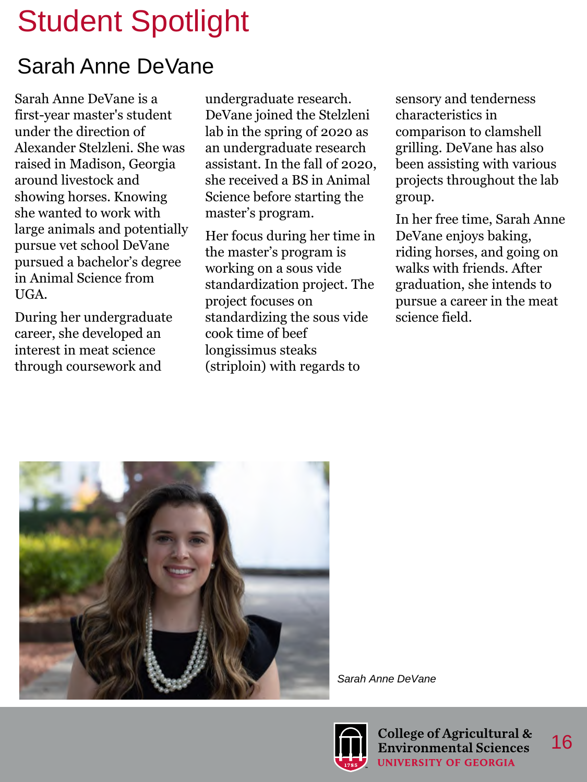### Sarah Anne DeVane

Sarah Anne DeVane is a first-year master's student under the direction of Alexander Stelzleni. She was raised in Madison, Georgia around livestock and showing horses. Knowing she wanted to work with large animals and potentially pursue vet school DeVane pursued a bachelor's degree in Animal Science from UGA.

During her undergraduate career, she developed an interest in meat science through coursework and

undergraduate research. DeVane joined the Stelzleni lab in the spring of 2020 as an undergraduate research assistant. In the fall of 2020, she received a BS in Animal Science before starting the master's program.

Her focus during her time in the master's program is working on a sous vide standardization project. The project focuses on standardizing the sous vide cook time of beef longissimus steaks (striploin) with regards to

sensory and tenderness characteristics in comparison to clamshell grilling. DeVane has also been assisting with various projects throughout the lab group.

In her free time, Sarah Anne DeVane enjoys baking, riding horses, and going on walks with friends. After graduation, she intends to pursue a career in the meat science field.



*Sarah Anne DeVane*